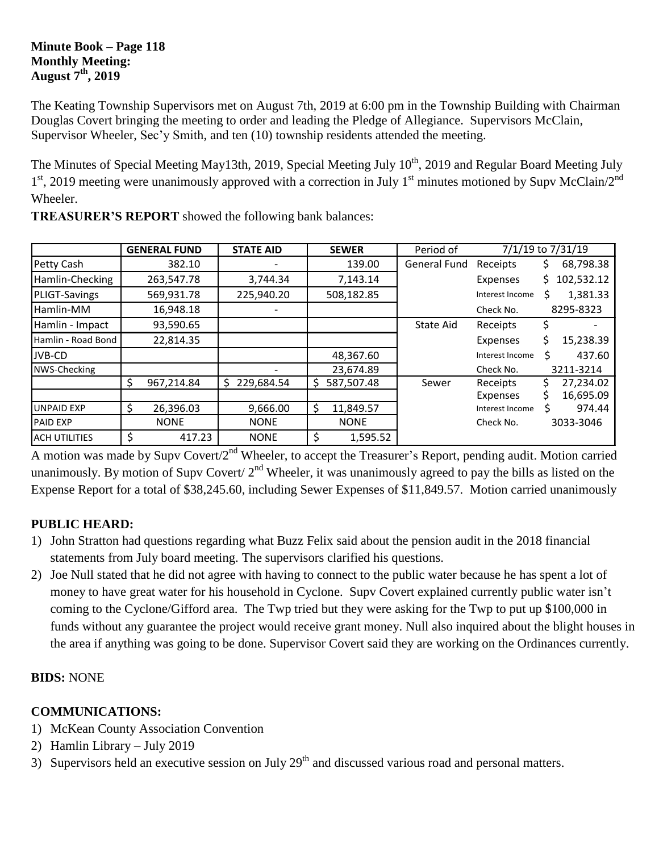#### **Minute Book – Page 118 Monthly Meeting: August 7th, 2019**

The Keating Township Supervisors met on August 7th, 2019 at 6:00 pm in the Township Building with Chairman Douglas Covert bringing the meeting to order and leading the Pledge of Allegiance. Supervisors McClain, Supervisor Wheeler, Sec'y Smith, and ten (10) township residents attended the meeting.

The Minutes of Special Meeting May13th, 2019, Special Meeting July 10<sup>th</sup>, 2019 and Regular Board Meeting July 1<sup>st</sup>, 2019 meeting were unanimously approved with a correction in July 1<sup>st</sup> minutes motioned by Supv McClain/2<sup>nd</sup> Wheeler.

|                      | <b>GENERAL FUND</b> | <b>STATE AID</b> |    | <b>SEWER</b> | Period of           | 7/1/19 to 7/31/19 |           |            |
|----------------------|---------------------|------------------|----|--------------|---------------------|-------------------|-----------|------------|
| Petty Cash           | 382.10              |                  |    | 139.00       | <b>General Fund</b> | Receipts          | Ş         | 68,798.38  |
| Hamlin-Checking      | 263,547.78          | 3,744.34         |    | 7,143.14     |                     | Expenses          | S.        | 102,532.12 |
| <b>PLIGT-Savings</b> | 569,931.78          | 225,940.20       |    | 508,182.85   |                     | Interest Income   | Ś         | 1,381.33   |
| Hamlin-MM            | 16,948.18           |                  |    |              |                     | Check No.         |           | 8295-8323  |
| Hamlin - Impact      | 93,590.65           |                  |    |              | State Aid           | Receipts          |           |            |
| Hamlin - Road Bond   | 22,814.35           |                  |    |              |                     | Expenses          | Ś.        | 15,238.39  |
| JVB-CD               |                     |                  |    | 48,367.60    |                     | Interest Income   | Ś         | 437.60     |
| NWS-Checking         |                     |                  |    | 23,674.89    |                     | Check No.         |           | 3211-3214  |
|                      | \$<br>967,214.84    | 229,684.54<br>S. | S  | 587,507.48   | Sewer               | Receipts          |           | 27,234.02  |
|                      |                     |                  |    |              |                     | Expenses          | Ś         | 16,695.09  |
| <b>UNPAID EXP</b>    | \$<br>26,396.03     | 9,666.00         | Ŝ. | 11,849.57    |                     | Interest Income   |           | 974.44     |
| <b>PAID EXP</b>      | <b>NONE</b>         | <b>NONE</b>      |    | <b>NONE</b>  |                     | Check No.         | 3033-3046 |            |
| <b>ACH UTILITIES</b> | \$<br>417.23        | <b>NONE</b>      | \$ | 1,595.52     |                     |                   |           |            |

**TREASURER'S REPORT** showed the following bank balances:

A motion was made by Supv Covert/2<sup>nd</sup> Wheeler, to accept the Treasurer's Report, pending audit. Motion carried unanimously. By motion of Supv Covert/  $2<sup>nd</sup>$  Wheeler, it was unanimously agreed to pay the bills as listed on the Expense Report for a total of \$38,245.60, including Sewer Expenses of \$11,849.57. Motion carried unanimously

# **PUBLIC HEARD:**

- 1) John Stratton had questions regarding what Buzz Felix said about the pension audit in the 2018 financial statements from July board meeting. The supervisors clarified his questions.
- 2) Joe Null stated that he did not agree with having to connect to the public water because he has spent a lot of money to have great water for his household in Cyclone. Supv Covert explained currently public water isn't coming to the Cyclone/Gifford area. The Twp tried but they were asking for the Twp to put up \$100,000 in funds without any guarantee the project would receive grant money. Null also inquired about the blight houses in the area if anything was going to be done. Supervisor Covert said they are working on the Ordinances currently.

### **BIDS:** NONE

### **COMMUNICATIONS:**

- 1) McKean County Association Convention
- 2) Hamlin Library July 2019
- 3) Supervisors held an executive session on July  $29<sup>th</sup>$  and discussed various road and personal matters.